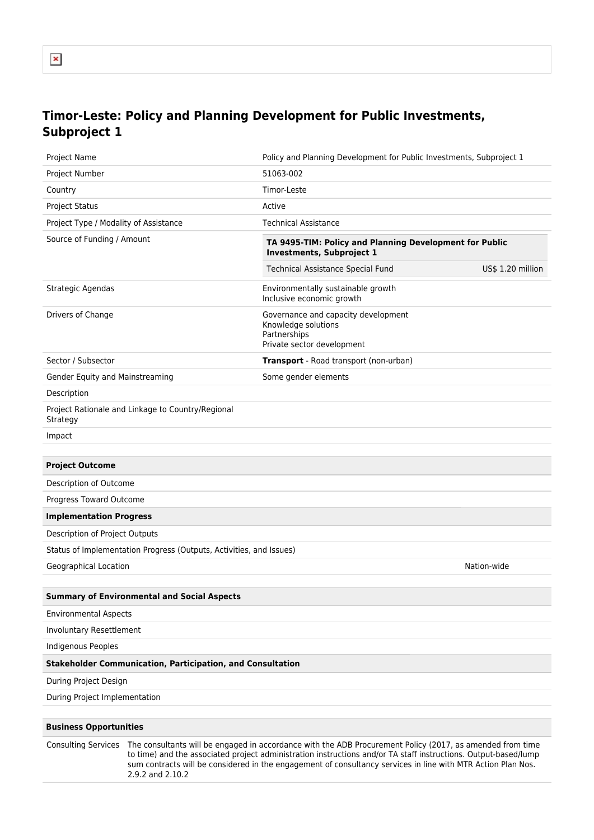## **Timor-Leste: Policy and Planning Development for Public Investments, Subproject 1**

| Project Name                          |                                                                     | Policy and Planning Development for Public Investments, Subproject 1                                                                                                                                                                                                                                                                         |                   |
|---------------------------------------|---------------------------------------------------------------------|----------------------------------------------------------------------------------------------------------------------------------------------------------------------------------------------------------------------------------------------------------------------------------------------------------------------------------------------|-------------------|
| Project Number                        |                                                                     | 51063-002                                                                                                                                                                                                                                                                                                                                    |                   |
| Country                               |                                                                     | Timor-Leste                                                                                                                                                                                                                                                                                                                                  |                   |
| <b>Project Status</b>                 |                                                                     | Active                                                                                                                                                                                                                                                                                                                                       |                   |
| Project Type / Modality of Assistance |                                                                     | <b>Technical Assistance</b>                                                                                                                                                                                                                                                                                                                  |                   |
| Source of Funding / Amount            |                                                                     | TA 9495-TIM: Policy and Planning Development for Public<br><b>Investments, Subproject 1</b>                                                                                                                                                                                                                                                  |                   |
|                                       |                                                                     | Technical Assistance Special Fund                                                                                                                                                                                                                                                                                                            | US\$ 1.20 million |
| Strategic Agendas                     |                                                                     | Environmentally sustainable growth<br>Inclusive economic growth                                                                                                                                                                                                                                                                              |                   |
| Drivers of Change                     |                                                                     | Governance and capacity development<br>Knowledge solutions<br>Partnerships<br>Private sector development                                                                                                                                                                                                                                     |                   |
| Sector / Subsector                    |                                                                     | Transport - Road transport (non-urban)                                                                                                                                                                                                                                                                                                       |                   |
| Gender Equity and Mainstreaming       |                                                                     | Some gender elements                                                                                                                                                                                                                                                                                                                         |                   |
| Description                           |                                                                     |                                                                                                                                                                                                                                                                                                                                              |                   |
| Strategy                              | Project Rationale and Linkage to Country/Regional                   |                                                                                                                                                                                                                                                                                                                                              |                   |
| Impact                                |                                                                     |                                                                                                                                                                                                                                                                                                                                              |                   |
|                                       |                                                                     |                                                                                                                                                                                                                                                                                                                                              |                   |
| <b>Project Outcome</b>                |                                                                     |                                                                                                                                                                                                                                                                                                                                              |                   |
| Description of Outcome                |                                                                     |                                                                                                                                                                                                                                                                                                                                              |                   |
| Progress Toward Outcome               |                                                                     |                                                                                                                                                                                                                                                                                                                                              |                   |
| <b>Implementation Progress</b>        |                                                                     |                                                                                                                                                                                                                                                                                                                                              |                   |
| Description of Project Outputs        |                                                                     |                                                                                                                                                                                                                                                                                                                                              |                   |
|                                       | Status of Implementation Progress (Outputs, Activities, and Issues) |                                                                                                                                                                                                                                                                                                                                              |                   |
| Geographical Location                 |                                                                     |                                                                                                                                                                                                                                                                                                                                              | Nation-wide       |
|                                       | <b>Summary of Environmental and Social Aspects</b>                  |                                                                                                                                                                                                                                                                                                                                              |                   |
| <b>Environmental Aspects</b>          |                                                                     |                                                                                                                                                                                                                                                                                                                                              |                   |
| <b>Involuntary Resettlement</b>       |                                                                     |                                                                                                                                                                                                                                                                                                                                              |                   |
| <b>Indigenous Peoples</b>             |                                                                     |                                                                                                                                                                                                                                                                                                                                              |                   |
|                                       | <b>Stakeholder Communication, Participation, and Consultation</b>   |                                                                                                                                                                                                                                                                                                                                              |                   |
| During Project Design                 |                                                                     |                                                                                                                                                                                                                                                                                                                                              |                   |
| During Project Implementation         |                                                                     |                                                                                                                                                                                                                                                                                                                                              |                   |
| <b>Business Opportunities</b>         |                                                                     |                                                                                                                                                                                                                                                                                                                                              |                   |
| <b>Consulting Services</b>            | 2.9.2 and 2.10.2                                                    | The consultants will be engaged in accordance with the ADB Procurement Policy (2017, as amended from time<br>to time) and the associated project administration instructions and/or TA staff instructions. Output-based/lump<br>sum contracts will be considered in the engagement of consultancy services in line with MTR Action Plan Nos. |                   |